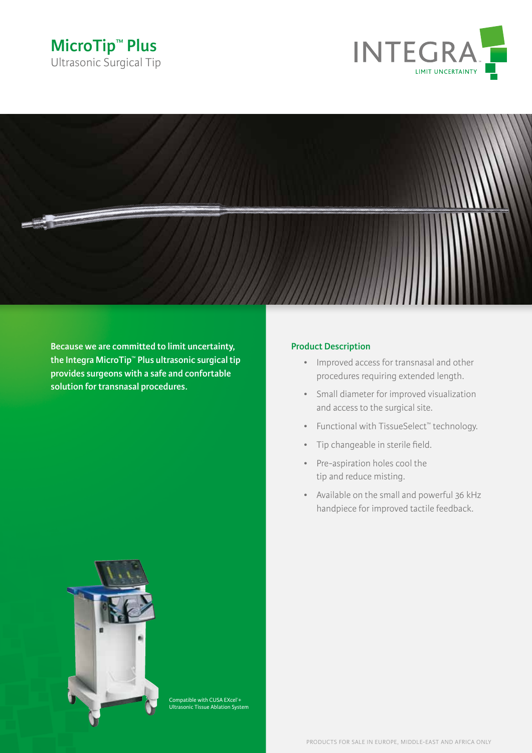





**Because we are committed to limit uncertainty, the Integra MicroTip™ Plus ultrasonic surgical tip provides surgeons with a safe and confortable solution for transnasal procedures.**

## **Product Description**

- • Improved access for transnasal and other procedures requiring extended length.
- • Small diameter for improved visualization and access to the surgical site.
- • Functional with TissueSelect™ technology.
- • Tip changeable in sterile field.
- • Pre-aspiration holes cool the tip and reduce misting.
- • Available on the small and powerful 36 kHz handpiece for improved tactile feedback.



Compatible with CUSA EXcel®+ Ultrasonic Tissue Ablation System